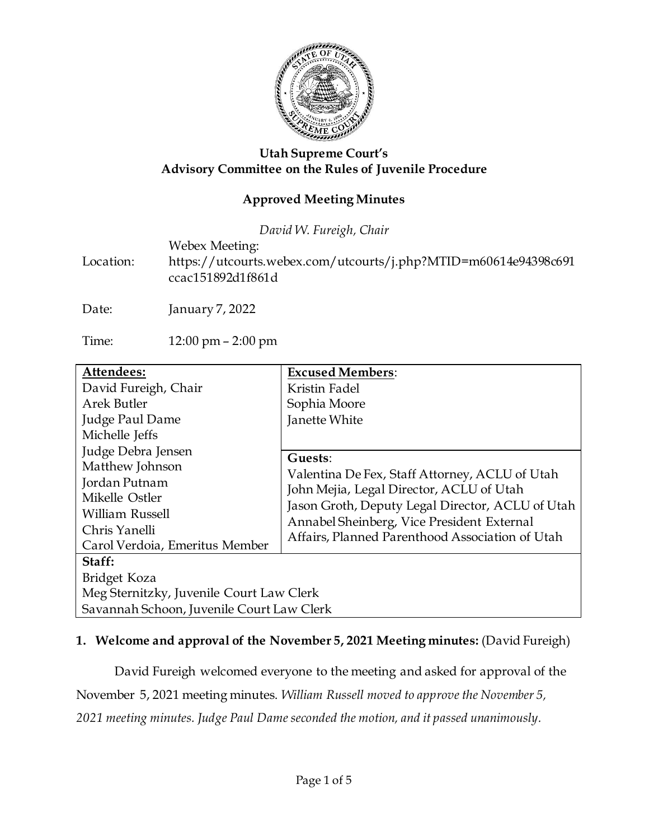

#### **Utah Supreme Court's Advisory Committee on the Rules of Juvenile Procedure**

### **Approved Meeting Minutes**

*David W. Fureigh, Chair*

Webex Meeting:

Location: https://utcourts.webex.com/utcourts/j.php?MTID=m60614e94398c691 ccac151892d1f861d

Date: January 7, 2022

Time: 12:00 pm – 2:00 pm

| Attendees:                                                                                                                                            | <b>Excused Members:</b>                                                                                                                                                                                                                                    |
|-------------------------------------------------------------------------------------------------------------------------------------------------------|------------------------------------------------------------------------------------------------------------------------------------------------------------------------------------------------------------------------------------------------------------|
| David Fureigh, Chair                                                                                                                                  | Kristin Fadel                                                                                                                                                                                                                                              |
| <b>Arek Butler</b>                                                                                                                                    | Sophia Moore                                                                                                                                                                                                                                               |
| Judge Paul Dame                                                                                                                                       | Janette White                                                                                                                                                                                                                                              |
| Michelle Jeffs                                                                                                                                        |                                                                                                                                                                                                                                                            |
| Judge Debra Jensen<br>Matthew Johnson<br>Jordan Putnam<br>Mikelle Ostler<br><b>William Russell</b><br>Chris Yanelli<br>Carol Verdoia, Emeritus Member | Guests:<br>Valentina De Fex, Staff Attorney, ACLU of Utah<br>John Mejia, Legal Director, ACLU of Utah<br>Jason Groth, Deputy Legal Director, ACLU of Utah<br>Annabel Sheinberg, Vice President External<br>Affairs, Planned Parenthood Association of Utah |
| Staff:                                                                                                                                                |                                                                                                                                                                                                                                                            |
| Bridget Koza                                                                                                                                          |                                                                                                                                                                                                                                                            |
| Meg Sternitzky, Juvenile Court Law Clerk                                                                                                              |                                                                                                                                                                                                                                                            |
| Savannah Schoon, Juvenile Court Law Clerk                                                                                                             |                                                                                                                                                                                                                                                            |

#### **1. Welcome and approval of the November 5, 2021 Meeting minutes:** (David Fureigh)

David Fureigh welcomed everyone to the meeting and asked for approval of the November 5, 2021 meeting minutes. *William Russell moved to approve the November 5, 2021 meeting minutes. Judge Paul Dame seconded the motion, and it passed unanimously.*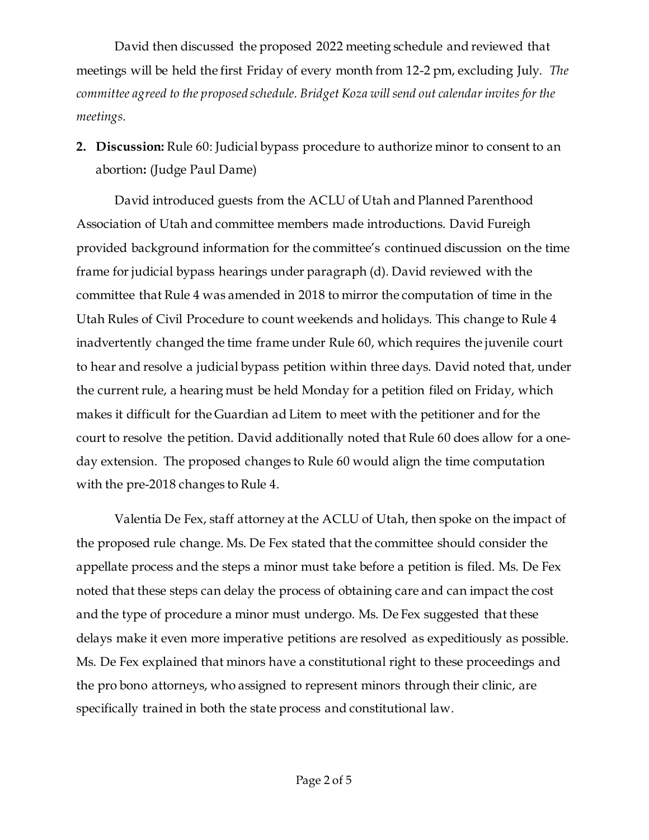David then discussed the proposed 2022 meeting schedule and reviewed that meetings will be held the first Friday of every month from 12-2 pm, excluding July. *The committee agreed to the proposed schedule. Bridget Koza will send out calendar invites for the meetings.*

**2. Discussion:** Rule 60: Judicial bypass procedure to authorize minor to consent to an abortion**:** (Judge Paul Dame)

David introduced guests from the ACLU of Utah and Planned Parenthood Association of Utah and committee members made introductions. David Fureigh provided background information for the committee's continued discussion on the time frame for judicial bypass hearings under paragraph (d). David reviewed with the committee that Rule 4 was amended in 2018 to mirror the computation of time in the Utah Rules of Civil Procedure to count weekends and holidays. This change to Rule 4 inadvertently changed the time frame under Rule 60, which requires the juvenile court to hear and resolve a judicial bypass petition within three days. David noted that, under the current rule, a hearing must be held Monday for a petition filed on Friday, which makes it difficult for the Guardian ad Litem to meet with the petitioner and for the court to resolve the petition. David additionally noted that Rule 60 does allow for a oneday extension. The proposed changes to Rule 60 would align the time computation with the pre-2018 changes to Rule 4.

Valentia De Fex, staff attorney at the ACLU of Utah, then spoke on the impact of the proposed rule change. Ms. De Fex stated that the committee should consider the appellate process and the steps a minor must take before a petition is filed. Ms. De Fex noted that these steps can delay the process of obtaining care and can impact the cost and the type of procedure a minor must undergo. Ms. De Fex suggested that these delays make it even more imperative petitions are resolved as expeditiously as possible. Ms. De Fex explained that minors have a constitutional right to these proceedings and the pro bono attorneys, who assigned to represent minors through their clinic, are specifically trained in both the state process and constitutional law.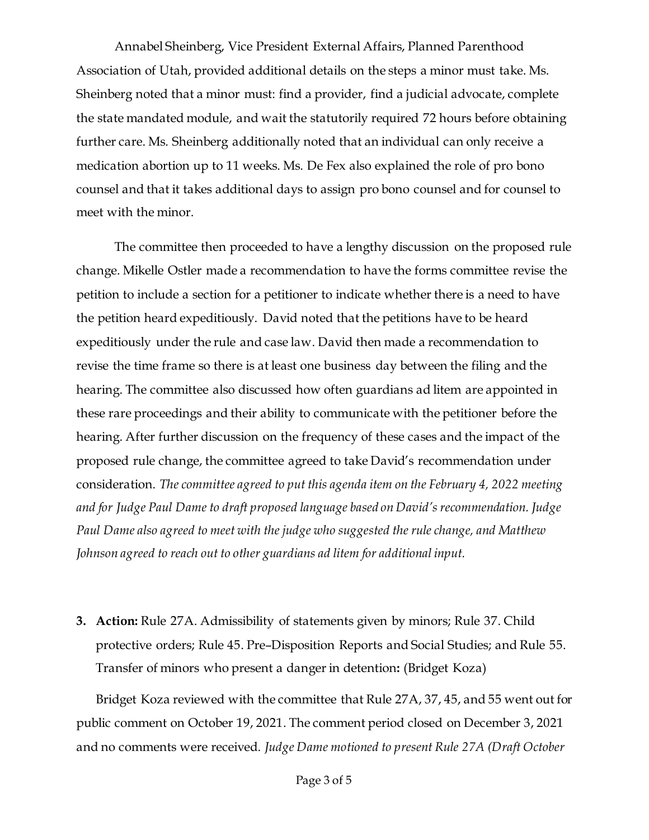Annabel Sheinberg, Vice President External Affairs, Planned Parenthood Association of Utah, provided additional details on the steps a minor must take. Ms. Sheinberg noted that a minor must: find a provider, find a judicial advocate, complete the state mandated module, and wait the statutorily required 72 hours before obtaining further care. Ms. Sheinberg additionally noted that an individual can only receive a medication abortion up to 11 weeks. Ms. De Fex also explained the role of pro bono counsel and that it takes additional days to assign pro bono counsel and for counsel to meet with the minor.

The committee then proceeded to have a lengthy discussion on the proposed rule change. Mikelle Ostler made a recommendation to have the forms committee revise the petition to include a section for a petitioner to indicate whether there is a need to have the petition heard expeditiously. David noted that the petitions have to be heard expeditiously under the rule and case law. David then made a recommendation to revise the time frame so there is at least one business day between the filing and the hearing. The committee also discussed how often guardians ad litem are appointed in these rare proceedings and their ability to communicate with the petitioner before the hearing. After further discussion on the frequency of these cases and the impact of the proposed rule change, the committee agreed to take David's recommendation under consideration. *The committee agreed to put this agenda item on the February 4, 2022 meeting and for Judge Paul Dame to draft proposed language based on David's recommendation. Judge Paul Dame also agreed to meet with the judge who suggested the rule change, and Matthew Johnson agreed to reach out to other guardians ad litem for additional input.* 

**3. Action:** Rule 27A. Admissibility of statements given by minors; Rule 37. Child protective orders; Rule 45. Pre–Disposition Reports and Social Studies; and Rule 55. Transfer of minors who present a danger in detention**:** (Bridget Koza)

Bridget Koza reviewed with the committee that Rule 27A, 37, 45, and 55 went out for public comment on October 19, 2021. The comment period closed on December 3, 2021 and no comments were received. *Judge Dame motioned to present Rule 27A (Draft October*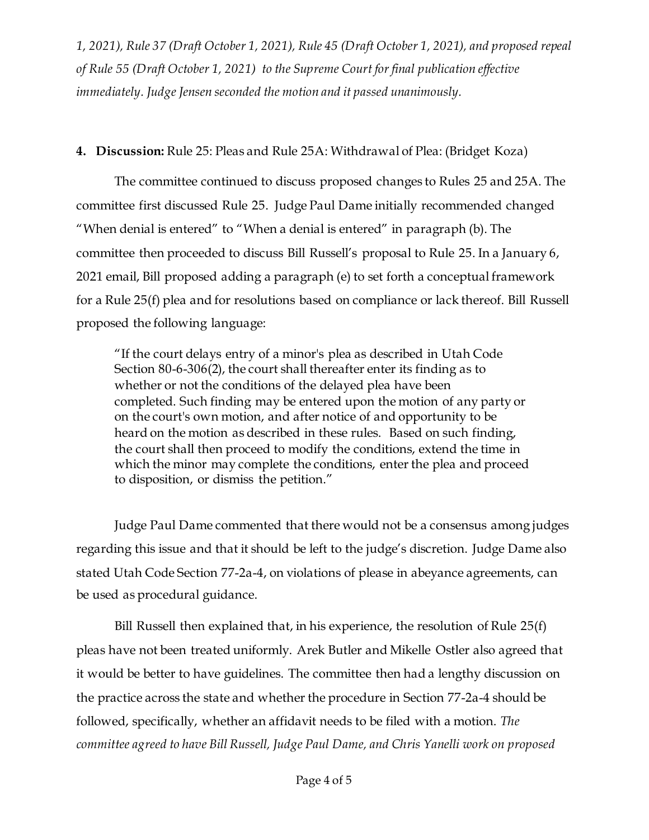*1, 2021), Rule 37 (Draft October 1, 2021), Rule 45 (Draft October 1, 2021), and proposed repeal of Rule 55 (Draft October 1, 2021) to the Supreme Court for final publication effective immediately. Judge Jensen seconded the motion and it passed unanimously.*

#### **4. Discussion:** Rule 25: Pleas and Rule 25A: Withdrawal of Plea: (Bridget Koza)

The committee continued to discuss proposed changes to Rules 25 and 25A. The committee first discussed Rule 25. Judge Paul Dame initially recommended changed "When denial is entered" to "When a denial is entered" in paragraph (b). The committee then proceeded to discuss Bill Russell's proposal to Rule 25. In a January 6, 2021 email, Bill proposed adding a paragraph (e) to set forth a conceptual framework for a Rule 25(f) plea and for resolutions based on compliance or lack thereof. Bill Russell proposed the following language:

"If the court delays entry of a minor's plea as described in Utah Code Section 80-6-306(2), the court shall thereafter enter its finding as to whether or not the conditions of the delayed plea have been completed. Such finding may be entered upon the motion of any party or on the court's own motion, and after notice of and opportunity to be heard on the motion as described in these rules. Based on such finding, the court shall then proceed to modify the conditions, extend the time in which the minor may complete the conditions, enter the plea and proceed to disposition, or dismiss the petition."

Judge Paul Dame commented that there would not be a consensus among judges regarding this issue and that it should be left to the judge's discretion. Judge Dame also stated Utah Code Section 77-2a-4, on violations of please in abeyance agreements, can be used as procedural guidance.

Bill Russell then explained that, in his experience, the resolution of Rule 25(f) pleas have not been treated uniformly. Arek Butler and Mikelle Ostler also agreed that it would be better to have guidelines. The committee then had a lengthy discussion on the practice across the state and whether the procedure in Section 77-2a-4 should be followed, specifically, whether an affidavit needs to be filed with a motion. *The committee agreed to have Bill Russell, Judge Paul Dame, and Chris Yanelli work on proposed*